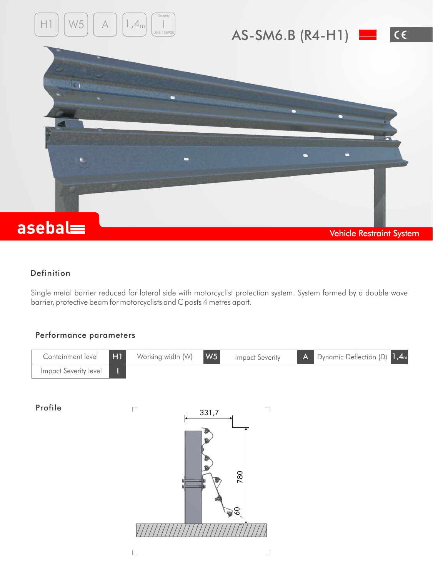

## Definition

Single metal barrier reduced for lateral side with motorcyclist protection system. System formed by a double wave barrier, protective beam for motorcyclists and C posts 4 metres apart.

## Performance parameters